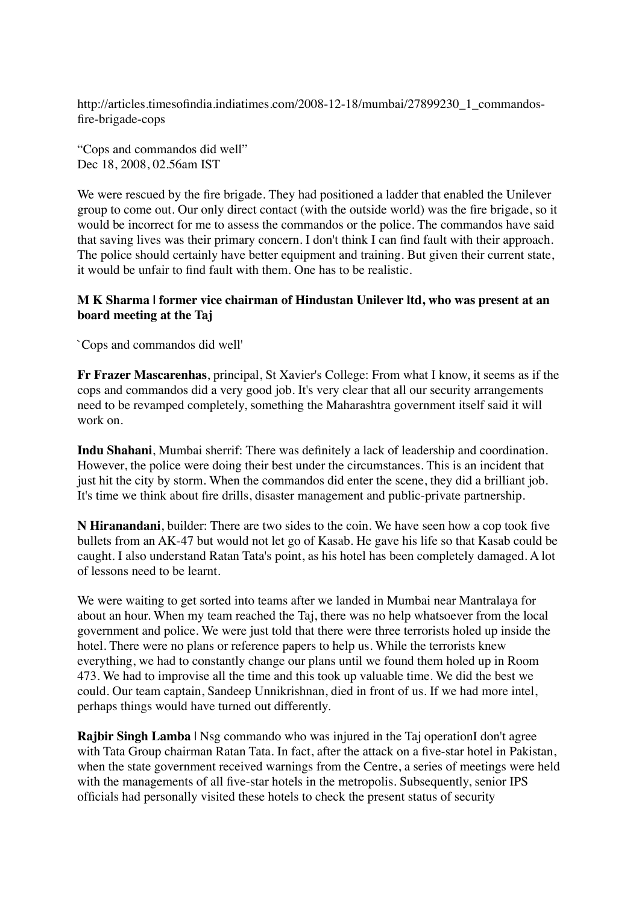http://articles.timesofindia.indiatimes.com/2008-12-18/mumbai/27899230\_1\_commandosfire-brigade-cops

"Cops and commandos did well" Dec 18, 2008, 02.56am IST

We were rescued by the fire brigade. They had positioned a ladder that enabled the Unilever group to come out. Our only direct contact (with the outside world) was the fire brigade, so it would be incorrect for me to assess the commandos or the police. The commandos have said that saving lives was their primary concern. I don't think I can find fault with their approach. The police should certainly have better equipment and training. But given their current state, it would be unfair to find fault with them. One has to be realistic.

## **M K Sharma | former vice chairman of Hindustan Unilever ltd, who was present at an board meeting at the Taj**

`Cops and commandos did well'

**Fr Frazer Mascarenhas**, principal, St Xavier's College: From what I know, it seems as if the cops and commandos did a very good job. It's very clear that all our security arrangements need to be revamped completely, something the Maharashtra government itself said it will work on.

**Indu Shahani**, Mumbai sherrif: There was definitely a lack of leadership and coordination. However, the police were doing their best under the circumstances. This is an incident that just hit the city by storm. When the commandos did enter the scene, they did a brilliant job. It's time we think about fire drills, disaster management and public-private partnership.

**N Hiranandani**, builder: There are two sides to the coin. We have seen how a cop took five bullets from an AK-47 but would not let go of Kasab. He gave his life so that Kasab could be caught. I also understand Ratan Tata's point, as his hotel has been completely damaged. A lot of lessons need to be learnt.

We were waiting to get sorted into teams after we landed in Mumbai near Mantralaya for about an hour. When my team reached the Taj, there was no help whatsoever from the local government and police. We were just told that there were three terrorists holed up inside the hotel. There were no plans or reference papers to help us. While the terrorists knew everything, we had to constantly change our plans until we found them holed up in Room 473. We had to improvise all the time and this took up valuable time. We did the best we could. Our team captain, Sandeep Unnikrishnan, died in front of us. If we had more intel, perhaps things would have turned out differently.

**Rajbir Singh Lamba** | Nsg commando who was injured in the Taj operationI don't agree with Tata Group chairman Ratan Tata. In fact, after the attack on a five-star hotel in Pakistan, when the state government received warnings from the Centre, a series of meetings were held with the managements of all five-star hotels in the metropolis. Subsequently, senior IPS officials had personally visited these hotels to check the present status of security